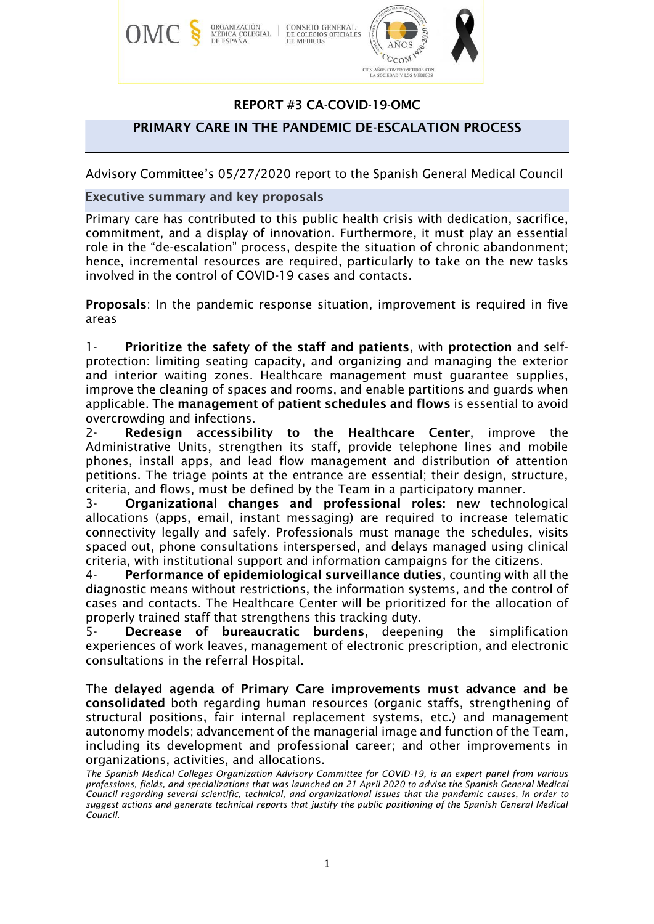

# REPORT #3 CA-COVID-19-OMC

### PRIMARY CARE IN THE PANDEMIC DE-ESCALATION PROCESS

Advisory Committee's 05/27/2020 report to the Spanish General Medical Council

### Executive summary and key proposals

Primary care has contributed to this public health crisis with dedication, sacrifice, commitment, and a display of innovation. Furthermore, it must play an essential role in the "de-escalation" process, despite the situation of chronic abandonment; hence, incremental resources are required, particularly to take on the new tasks involved in the control of COVID-19 cases and contacts.

Proposals: In the pandemic response situation, improvement is required in five areas

1- Prioritize the safety of the staff and patients, with protection and selfprotection: limiting seating capacity, and organizing and managing the exterior and interior waiting zones. Healthcare management must guarantee supplies, improve the cleaning of spaces and rooms, and enable partitions and guards when applicable. The management of patient schedules and flows is essential to avoid overcrowding and infections.

2- Redesign accessibility to the Healthcare Center, improve the Administrative Units, strengthen its staff, provide telephone lines and mobile phones, install apps, and lead flow management and distribution of attention petitions. The triage points at the entrance are essential; their design, structure, criteria, and flows, must be defined by the Team in a participatory manner.

3- Organizational changes and professional roles: new technological allocations (apps, email, instant messaging) are required to increase telematic connectivity legally and safely. Professionals must manage the schedules, visits spaced out, phone consultations interspersed, and delays managed using clinical criteria, with institutional support and information campaigns for the citizens.

4- Performance of epidemiological surveillance duties, counting with all the diagnostic means without restrictions, the information systems, and the control of cases and contacts. The Healthcare Center will be prioritized for the allocation of properly trained staff that strengthens this tracking duty.

5- Decrease of bureaucratic burdens, deepening the simplification experiences of work leaves, management of electronic prescription, and electronic consultations in the referral Hospital.

The delayed agenda of Primary Care improvements must advance and be consolidated both regarding human resources (organic staffs, strengthening of structural positions, fair internal replacement systems, etc.) and management autonomy models; advancement of the managerial image and function of the Team, including its development and professional career; and other improvements in organizations, activities, and allocations.

*The Spanish Medical Colleges Organization Advisory Committee for COVID-19, is an expert panel from various professions, fields, and specializations that was launched on 21 April 2020 to advise the Spanish General Medical Council regarding several scientific, technical, and organizational issues that the pandemic causes, in order to suggest actions and generate technical reports that justify the public positioning of the Spanish General Medical Council.*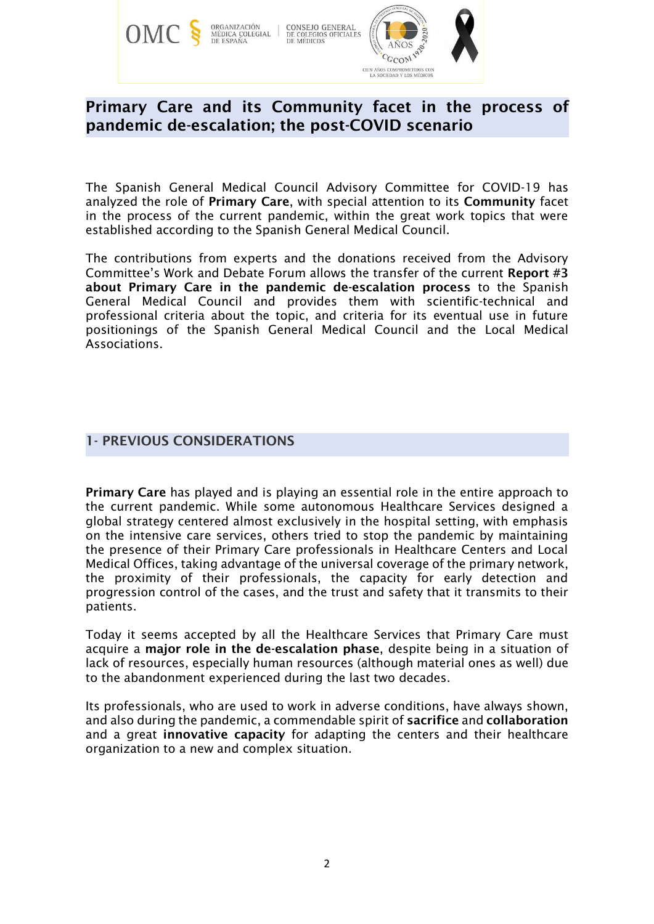

# Primary Care and its Community facet in the process of pandemic de-escalation; the post-COVID scenario

The Spanish General Medical Council Advisory Committee for COVID-19 has analyzed the role of Primary Care, with special attention to its Community facet in the process of the current pandemic, within the great work topics that were established according to the Spanish General Medical Council.

The contributions from experts and the donations received from the Advisory Committee's Work and Debate Forum allows the transfer of the current Report #3 about Primary Care in the pandemic de-escalation process to the Spanish General Medical Council and provides them with scientific-technical and professional criteria about the topic, and criteria for its eventual use in future positionings of the Spanish General Medical Council and the Local Medical Associations.

# 1- PREVIOUS CONSIDERATIONS

Primary Care has played and is playing an essential role in the entire approach to the current pandemic. While some autonomous Healthcare Services designed a global strategy centered almost exclusively in the hospital setting, with emphasis on the intensive care services, others tried to stop the pandemic by maintaining the presence of their Primary Care professionals in Healthcare Centers and Local Medical Offices, taking advantage of the universal coverage of the primary network, the proximity of their professionals, the capacity for early detection and progression control of the cases, and the trust and safety that it transmits to their patients.

Today it seems accepted by all the Healthcare Services that Primary Care must acquire a major role in the de-escalation phase, despite being in a situation of lack of resources, especially human resources (although material ones as well) due to the abandonment experienced during the last two decades.

Its professionals, who are used to work in adverse conditions, have always shown, and also during the pandemic, a commendable spirit of sacrifice and collaboration and a great innovative capacity for adapting the centers and their healthcare organization to a new and complex situation.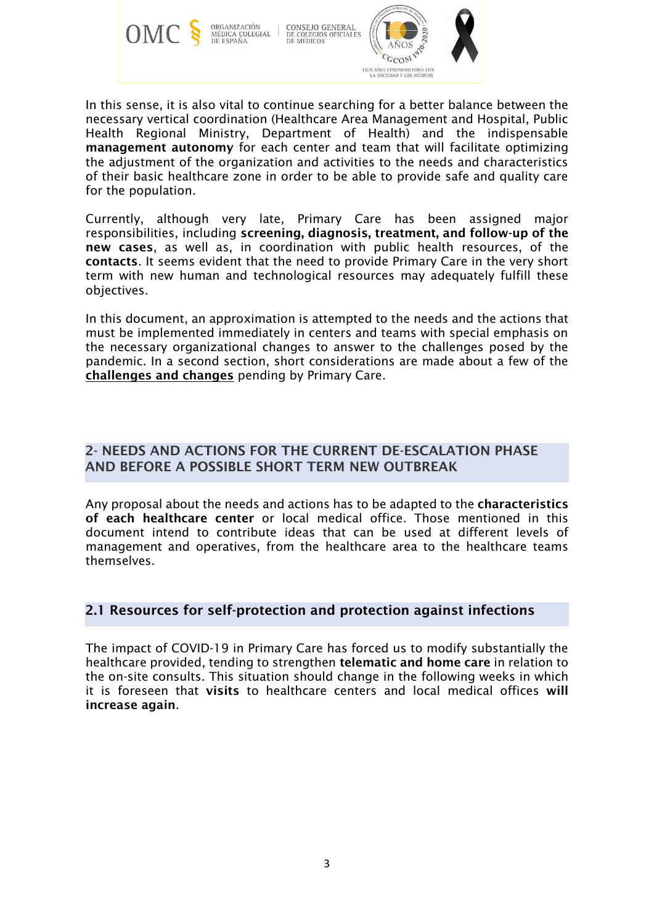

CONSEJO GENERAL<br>DE COLEGIOS OFICIALES<br>DE MÉDICOS **ORGANIZACIÓN** MÉDICA COLEGIAL<br>DE ESPAÑA



In this sense, it is also vital to continue searching for a better balance between the necessary vertical coordination (Healthcare Area Management and Hospital, Public Health Regional Ministry, Department of Health) and the indispensable management autonomy for each center and team that will facilitate optimizing the adjustment of the organization and activities to the needs and characteristics of their basic healthcare zone in order to be able to provide safe and quality care for the population.

Currently, although very late, Primary Care has been assigned major responsibilities, including screening, diagnosis, treatment, and follow-up of the new cases, as well as, in coordination with public health resources, of the contacts. It seems evident that the need to provide Primary Care in the very short term with new human and technological resources may adequately fulfill these objectives.

In this document, an approximation is attempted to the needs and the actions that must be implemented immediately in centers and teams with special emphasis on the necessary organizational changes to answer to the challenges posed by the pandemic. In a second section, short considerations are made about a few of the challenges and changes pending by Primary Care.

# 2- NEEDS AND ACTIONS FOR THE CURRENT DE-ESCALATION PHASE AND BEFORE A POSSIBLE SHORT TERM NEW OUTBREAK

Any proposal about the needs and actions has to be adapted to the characteristics of each healthcare center or local medical office. Those mentioned in this document intend to contribute ideas that can be used at different levels of management and operatives, from the healthcare area to the healthcare teams themselves.

# 2.1 Resources for self-protection and protection against infections

The impact of COVID-19 in Primary Care has forced us to modify substantially the healthcare provided, tending to strengthen telematic and home care in relation to the on-site consults. This situation should change in the following weeks in which it is foreseen that visits to healthcare centers and local medical offices will increase again.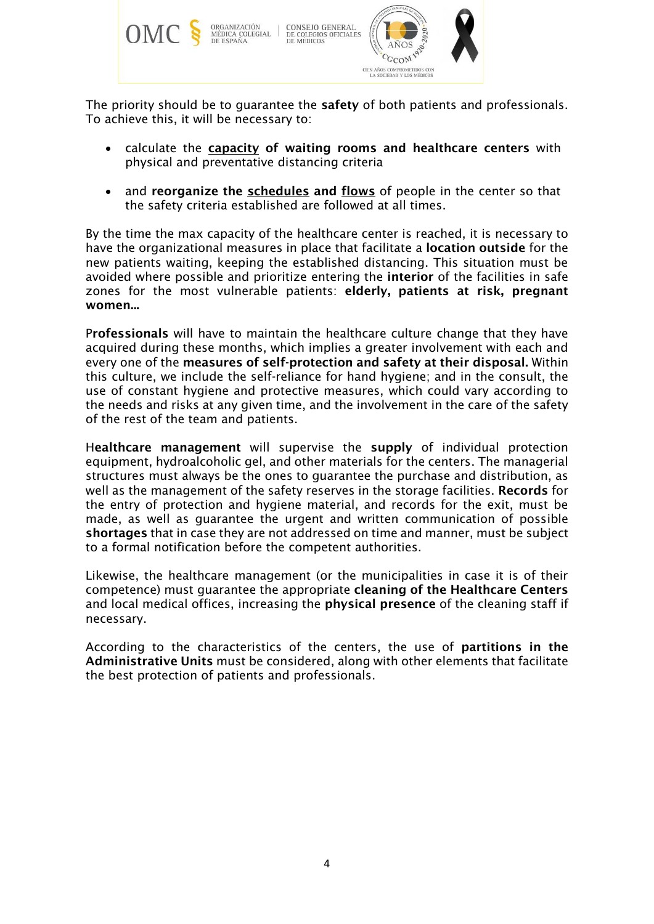

The priority should be to quarantee the **safety** of both patients and professionals. To achieve this, it will be necessary to:

- calculate the capacity of waiting rooms and healthcare centers with physical and preventative distancing criteria
- and reorganize the **schedules** and flows of people in the center so that the safety criteria established are followed at all times.

By the time the max capacity of the healthcare center is reached, it is necessary to have the organizational measures in place that facilitate a location outside for the new patients waiting, keeping the established distancing. This situation must be avoided where possible and prioritize entering the interior of the facilities in safe zones for the most vulnerable patients: elderly, patients at risk, pregnant women...

Professionals will have to maintain the healthcare culture change that they have acquired during these months, which implies a greater involvement with each and every one of the measures of self-protection and safety at their disposal. Within this culture, we include the self-reliance for hand hygiene; and in the consult, the use of constant hygiene and protective measures, which could vary according to the needs and risks at any given time, and the involvement in the care of the safety of the rest of the team and patients.

Healthcare management will supervise the supply of individual protection equipment, hydroalcoholic gel, and other materials for the centers. The managerial structures must always be the ones to guarantee the purchase and distribution, as well as the management of the safety reserves in the storage facilities. Records for the entry of protection and hygiene material, and records for the exit, must be made, as well as guarantee the urgent and written communication of possible shortages that in case they are not addressed on time and manner, must be subject to a formal notification before the competent authorities.

Likewise, the healthcare management (or the municipalities in case it is of their competence) must guarantee the appropriate cleaning of the Healthcare Centers and local medical offices, increasing the physical presence of the cleaning staff if necessary.

According to the characteristics of the centers, the use of partitions in the Administrative Units must be considered, along with other elements that facilitate the best protection of patients and professionals.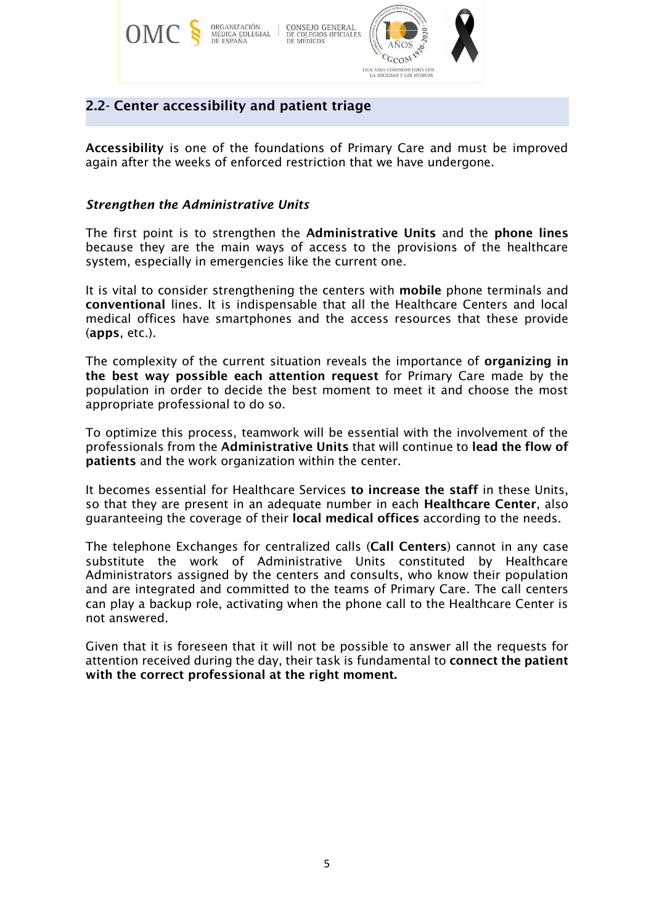

# 2.2- Center accessibility and patient triage

Accessibility is one of the foundations of Primary Care and must be improved again after the weeks of enforced restriction that we have undergone.

### *Strengthen the Administrative Units*

The first point is to strengthen the Administrative Units and the phone lines because they are the main ways of access to the provisions of the healthcare system, especially in emergencies like the current one.

It is vital to consider strengthening the centers with mobile phone terminals and conventional lines. It is indispensable that all the Healthcare Centers and local medical offices have smartphones and the access resources that these provide (apps, etc.).

The complexity of the current situation reveals the importance of organizing in the best way possible each attention request for Primary Care made by the population in order to decide the best moment to meet it and choose the most appropriate professional to do so.

To optimize this process, teamwork will be essential with the involvement of the professionals from the Administrative Units that will continue to lead the flow of patients and the work organization within the center.

It becomes essential for Healthcare Services to increase the staff in these Units, so that they are present in an adequate number in each Healthcare Center, also guaranteeing the coverage of their local medical offices according to the needs.

The telephone Exchanges for centralized calls (Call Centers) cannot in any case substitute the work of Administrative Units constituted by Healthcare Administrators assigned by the centers and consults, who know their population and are integrated and committed to the teams of Primary Care. The call centers can play a backup role, activating when the phone call to the Healthcare Center is not answered.

Given that it is foreseen that it will not be possible to answer all the requests for attention received during the day, their task is fundamental to connect the patient with the correct professional at the right moment.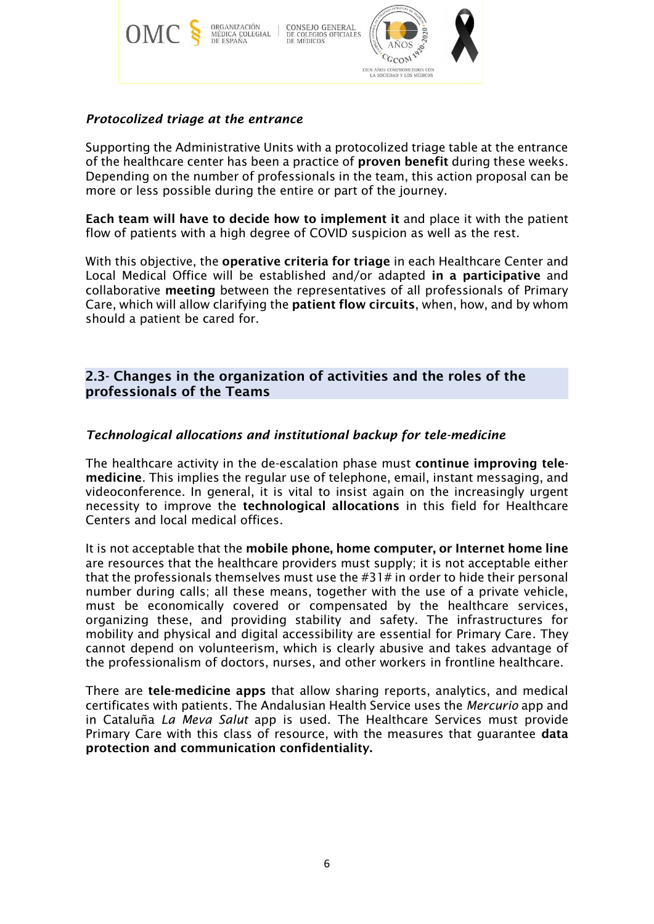

# *Protocolized triage at the entrance*

Supporting the Administrative Units with a protocolized triage table at the entrance of the healthcare center has been a practice of proven benefit during these weeks. Depending on the number of professionals in the team, this action proposal can be more or less possible during the entire or part of the journey.

Each team will have to decide how to implement it and place it with the patient flow of patients with a high degree of COVID suspicion as well as the rest.

With this objective, the operative criteria for triage in each Healthcare Center and Local Medical Office will be established and/or adapted in a participative and collaborative meeting between the representatives of all professionals of Primary Care, which will allow clarifying the patient flow circuits, when, how, and by whom should a patient be cared for.

## 2.3- Changes in the organization of activities and the roles of the professionals of the Teams

### *Technological allocations and institutional backup for tele-medicine*

The healthcare activity in the de-escalation phase must continue improving telemedicine. This implies the regular use of telephone, email, instant messaging, and videoconference. In general, it is vital to insist again on the increasingly urgent necessity to improve the technological allocations in this field for Healthcare Centers and local medical offices.

It is not acceptable that the mobile phone, home computer, or Internet home line are resources that the healthcare providers must supply; it is not acceptable either that the professionals themselves must use the #31# in order to hide their personal number during calls; all these means, together with the use of a private vehicle, must be economically covered or compensated by the healthcare services, organizing these, and providing stability and safety. The infrastructures for mobility and physical and digital accessibility are essential for Primary Care. They cannot depend on volunteerism, which is clearly abusive and takes advantage of the professionalism of doctors, nurses, and other workers in frontline healthcare.

There are tele-medicine apps that allow sharing reports, analytics, and medical certificates with patients. The Andalusian Health Service uses the *Mercurio* app and in Cataluña *La Meva Salut* app is used. The Healthcare Services must provide Primary Care with this class of resource, with the measures that guarantee data protection and communication confidentiality.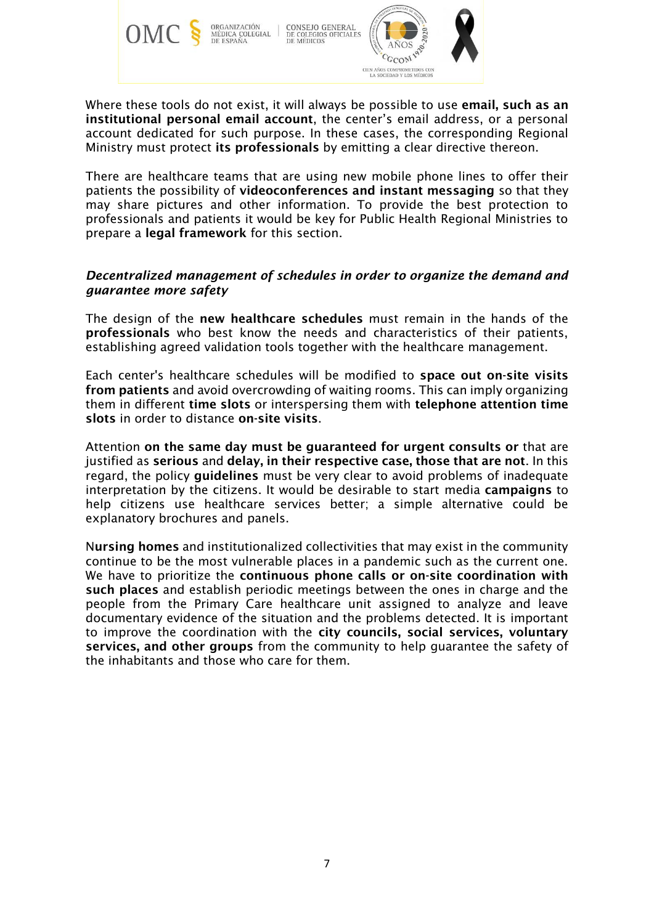



Where these tools do not exist, it will always be possible to use email, such as an institutional personal email account, the center's email address, or a personal account dedicated for such purpose. In these cases, the corresponding Regional Ministry must protect its professionals by emitting a clear directive thereon.

There are healthcare teams that are using new mobile phone lines to offer their patients the possibility of videoconferences and instant messaging so that they may share pictures and other information. To provide the best protection to professionals and patients it would be key for Public Health Regional Ministries to prepare a legal framework for this section.

### *Decentralized management of schedules in order to organize the demand and guarantee more safety*

The design of the new healthcare schedules must remain in the hands of the professionals who best know the needs and characteristics of their patients, establishing agreed validation tools together with the healthcare management.

Each center's healthcare schedules will be modified to space out on-site visits from patients and avoid overcrowding of waiting rooms. This can imply organizing them in different time slots or interspersing them with telephone attention time slots in order to distance on-site visits.

Attention on the same day must be guaranteed for urgent consults or that are justified as serious and delay, in their respective case, those that are not. In this regard, the policy guidelines must be very clear to avoid problems of inadequate interpretation by the citizens. It would be desirable to start media campaigns to help citizens use healthcare services better; a simple alternative could be explanatory brochures and panels.

Nursing homes and institutionalized collectivities that may exist in the community continue to be the most vulnerable places in a pandemic such as the current one. We have to prioritize the continuous phone calls or on-site coordination with such places and establish periodic meetings between the ones in charge and the people from the Primary Care healthcare unit assigned to analyze and leave documentary evidence of the situation and the problems detected. It is important to improve the coordination with the city councils, social services, voluntary services, and other groups from the community to help guarantee the safety of the inhabitants and those who care for them.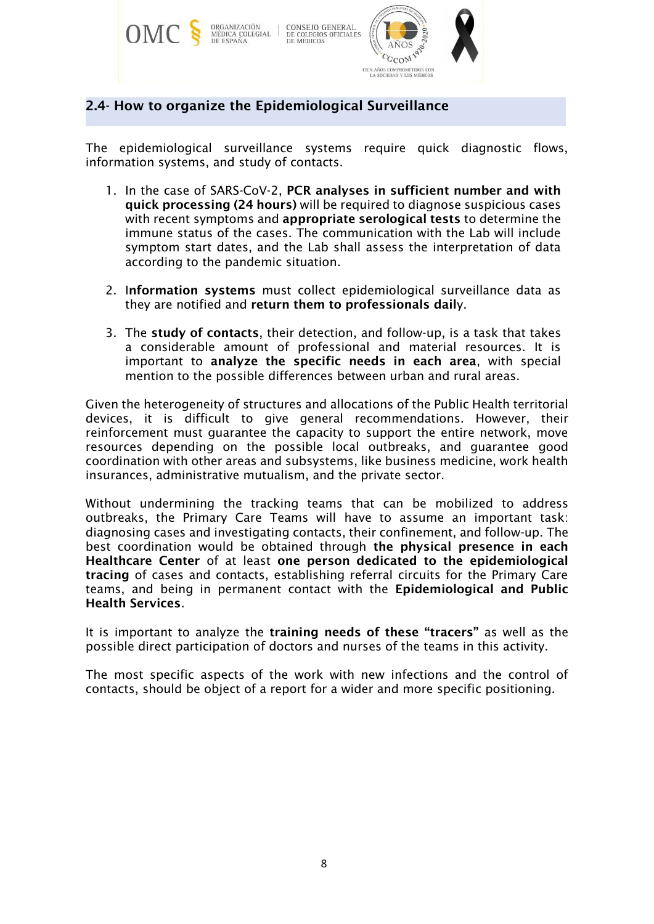

# 2.4- How to organize the Epidemiological Surveillance

The epidemiological surveillance systems require quick diagnostic flows, information systems, and study of contacts.

- 1. In the case of SARS-CoV-2, PCR analyses in sufficient number and with quick processing (24 hours) will be required to diagnose suspicious cases with recent symptoms and appropriate serological tests to determine the immune status of the cases. The communication with the Lab will include symptom start dates, and the Lab shall assess the interpretation of data according to the pandemic situation.
- 2. Information systems must collect epidemiological surveillance data as they are notified and return them to professionals daily.
- 3. The study of contacts, their detection, and follow-up, is a task that takes a considerable amount of professional and material resources. It is important to analyze the specific needs in each area, with special mention to the possible differences between urban and rural areas.

Given the heterogeneity of structures and allocations of the Public Health territorial devices, it is difficult to give general recommendations. However, their reinforcement must guarantee the capacity to support the entire network, move resources depending on the possible local outbreaks, and guarantee good coordination with other areas and subsystems, like business medicine, work health insurances, administrative mutualism, and the private sector.

Without undermining the tracking teams that can be mobilized to address outbreaks, the Primary Care Teams will have to assume an important task: diagnosing cases and investigating contacts, their confinement, and follow-up. The best coordination would be obtained through the physical presence in each Healthcare Center of at least one person dedicated to the epidemiological tracing of cases and contacts, establishing referral circuits for the Primary Care teams, and being in permanent contact with the Epidemiological and Public Health Services.

It is important to analyze the training needs of these "tracers" as well as the possible direct participation of doctors and nurses of the teams in this activity.

The most specific aspects of the work with new infections and the control of contacts, should be object of a report for a wider and more specific positioning.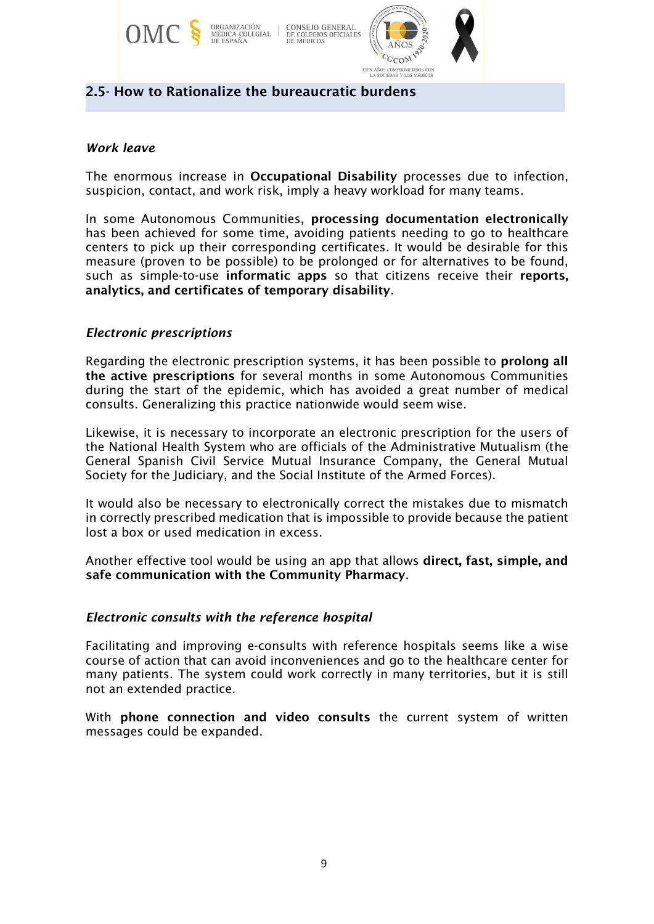

### 2.5- How to Rationalize the bureaucratic burdens

### *Work leave*

The enormous increase in Occupational Disability processes due to infection, suspicion, contact, and work risk, imply a heavy workload for many teams.

In some Autonomous Communities, processing documentation electronically has been achieved for some time, avoiding patients needing to go to healthcare centers to pick up their corresponding certificates. It would be desirable for this measure (proven to be possible) to be prolonged or for alternatives to be found, such as simple-to-use informatic apps so that citizens receive their reports, analytics, and certificates of temporary disability.

### *Electronic prescriptions*

Regarding the electronic prescription systems, it has been possible to prolong all the active prescriptions for several months in some Autonomous Communities during the start of the epidemic, which has avoided a great number of medical consults. Generalizing this practice nationwide would seem wise.

Likewise, it is necessary to incorporate an electronic prescription for the users of the National Health System who are officials of the Administrative Mutualism (the General Spanish Civil Service Mutual Insurance Company, the General Mutual Society for the Judiciary, and the Social Institute of the Armed Forces).

It would also be necessary to electronically correct the mistakes due to mismatch in correctly prescribed medication that is impossible to provide because the patient lost a box or used medication in excess.

Another effective tool would be using an app that allows direct, fast, simple, and safe communication with the Community Pharmacy.

### *Electronic consults with the reference hospital*

Facilitating and improving e-consults with reference hospitals seems like a wise course of action that can avoid inconveniences and go to the healthcare center for many patients. The system could work correctly in many territories, but it is still not an extended practice.

With phone connection and video consults the current system of written messages could be expanded.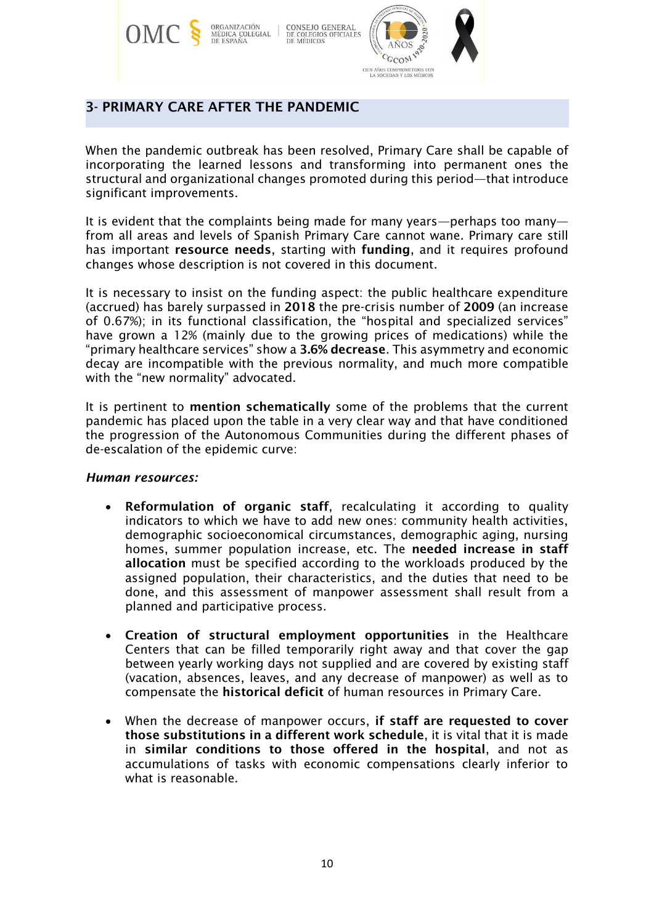

# 3- PRIMARY CARE AFTER THE PANDEMIC

When the pandemic outbreak has been resolved, Primary Care shall be capable of incorporating the learned lessons and transforming into permanent ones the structural and organizational changes promoted during this period—that introduce significant improvements.

It is evident that the complaints being made for many years—perhaps too many from all areas and levels of Spanish Primary Care cannot wane. Primary care still has important resource needs, starting with funding, and it requires profound changes whose description is not covered in this document.

It is necessary to insist on the funding aspect: the public healthcare expenditure (accrued) has barely surpassed in 2018 the pre-crisis number of 2009 (an increase of 0.67%); in its functional classification, the "hospital and specialized services" have grown a 12% (mainly due to the growing prices of medications) while the "primary healthcare services" show a 3.6% decrease. This asymmetry and economic decay are incompatible with the previous normality, and much more compatible with the "new normality" advocated.

It is pertinent to mention schematically some of the problems that the current pandemic has placed upon the table in a very clear way and that have conditioned the progression of the Autonomous Communities during the different phases of de-escalation of the epidemic curve:

### *Human resources:*

- Reformulation of organic staff, recalculating it according to quality indicators to which we have to add new ones: community health activities, demographic socioeconomical circumstances, demographic aging, nursing homes, summer population increase, etc. The needed increase in staff allocation must be specified according to the workloads produced by the assigned population, their characteristics, and the duties that need to be done, and this assessment of manpower assessment shall result from a planned and participative process.
- Creation of structural employment opportunities in the Healthcare Centers that can be filled temporarily right away and that cover the gap between yearly working days not supplied and are covered by existing staff (vacation, absences, leaves, and any decrease of manpower) as well as to compensate the historical deficit of human resources in Primary Care.
- When the decrease of manpower occurs, if staff are requested to cover those substitutions in a different work schedule, it is vital that it is made in similar conditions to those offered in the hospital, and not as accumulations of tasks with economic compensations clearly inferior to what is reasonable.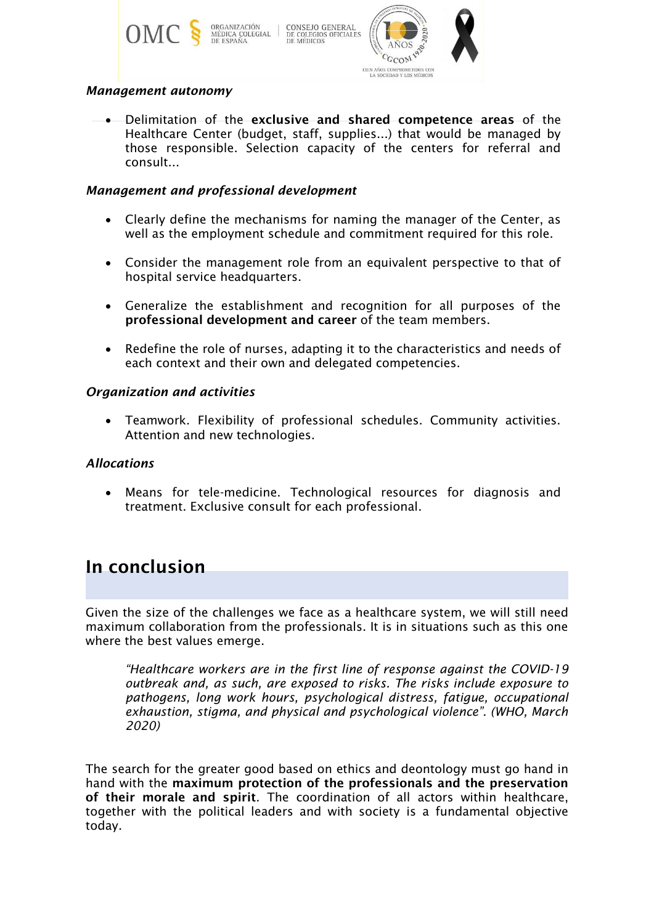

### *Management autonomy*

• Delimitation of the exclusive and shared competence areas of the Healthcare Center (budget, staff, supplies...) that would be managed by those responsible. Selection capacity of the centers for referral and consult...

### *Management and professional development*

- Clearly define the mechanisms for naming the manager of the Center, as well as the employment schedule and commitment required for this role.
- Consider the management role from an equivalent perspective to that of hospital service headquarters.
- Generalize the establishment and recognition for all purposes of the professional development and career of the team members.
- Redefine the role of nurses, adapting it to the characteristics and needs of each context and their own and delegated competencies.

### *Organization and activities*

• Teamwork. Flexibility of professional schedules. Community activities. Attention and new technologies.

### *Allocations*

• Means for tele-medicine. Technological resources for diagnosis and treatment. Exclusive consult for each professional.

# In conclusion

Given the size of the challenges we face as a healthcare system, we will still need maximum collaboration from the professionals. It is in situations such as this one where the best values emerge.

*"Healthcare workers are in the first line of response against the COVID-19 outbreak and, as such, are exposed to risks. The risks include exposure to pathogens, long work hours, psychological distress, fatigue, occupational exhaustion, stigma, and physical and psychological violence". (WHO, March 2020)*

The search for the greater good based on ethics and deontology must go hand in hand with the maximum protection of the professionals and the preservation of their morale and spirit. The coordination of all actors within healthcare, together with the political leaders and with society is a fundamental objective today.